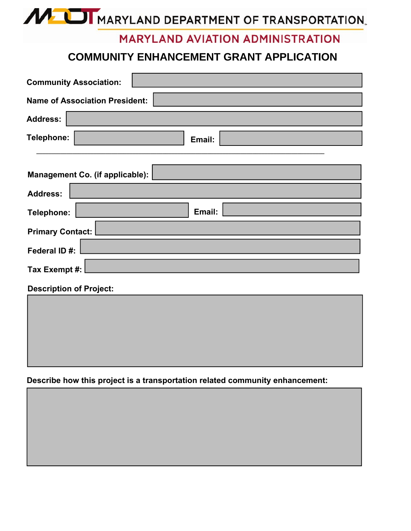MUI MARYLAND DEPARTMENT OF TRANSPORTATION.

## **MARYLAND AVIATION ADMINISTRATION**

## **COMMUNITY ENHANCEMENT GRANT APPLICATION**

| <b>Community Association:</b>          |  |  |
|----------------------------------------|--|--|
| <b>Name of Association President:</b>  |  |  |
| <b>Address:</b>                        |  |  |
| Telephone:<br>Email:                   |  |  |
| <b>Management Co. (if applicable):</b> |  |  |
| <b>Address:</b>                        |  |  |
| Email:<br>Telephone:                   |  |  |
| <b>Primary Contact:</b>                |  |  |
| Federal ID#:                           |  |  |
| Tax Exempt #:                          |  |  |
| <b>Description of Project:</b>         |  |  |
|                                        |  |  |

## **Describe how this project is a transportation related community enhancement:**